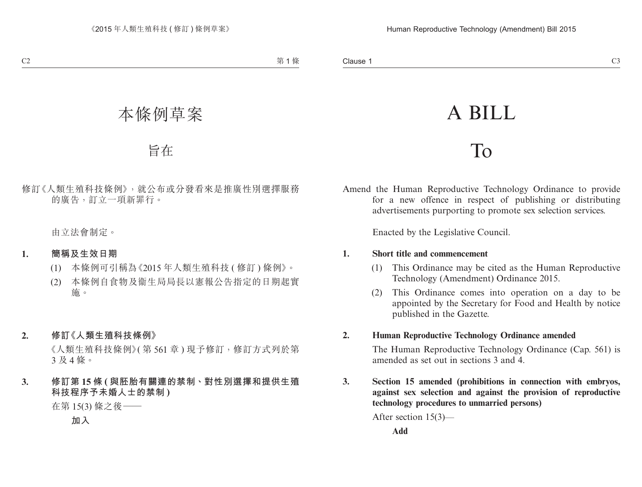# A BILL

## To

Amend the Human Reproductive Technology Ordinance to provide for a new offence in respect of publishing or distributing advertisements purporting to promote sex selection services.

Enacted by the Legislative Council.

#### **1. Short title and commencement**

- (1) This Ordinance may be cited as the Human Reproductive Technology (Amendment) Ordinance 2015.
- (2) This Ordinance comes into operation on a day to be appointed by the Secretary for Food and Health by notice published in the Gazette.

### **2. Human Reproductive Technology Ordinance amended**

The Human Reproductive Technology Ordinance (Cap. 561) is amended as set out in sections 3 and 4.

**3. Section 15 amended (prohibitions in connection with embryos, against sex selection and against the provision of reproductive technology procedures to unmarried persons)**

After section 15(3)—

**Add**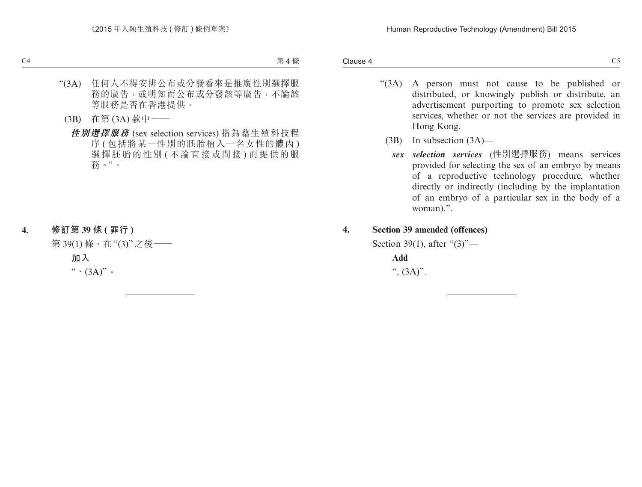Clause 4

- "(3A) A person must not cause to be published or distributed, or knowingly publish or distribute, an advertisement purporting to promote sex selection services, whether or not the services are provided in Hong Kong.
	- (3B) In subsection (3A)
		- *sex selection services* (性別選擇服務) means services provided for selecting the sex of an embryo by means of a reproductive technology procedure, whether directly or indirectly (including by the implantation of an embryo of a particular sex in the body of a woman).".
- **4. Section 39 amended (offences)**

Section 39(1), after "(3)"—

**Add** ",  $(3A)$ ".